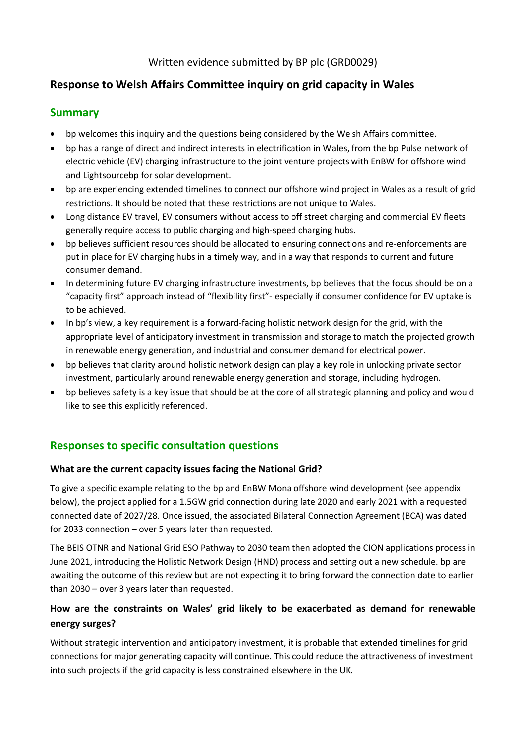# **Response to Welsh Affairs Committee inquiry on grid capacity in Wales**

#### **Summary**

- bp welcomes this inquiry and the questions being considered by the Welsh Affairs committee.
- bp has a range of direct and indirect interests in electrification in Wales, from the bp Pulse network of electric vehicle (EV) charging infrastructure to the joint venture projects with EnBW for offshore wind and Lightsourcebp for solar development.
- bp are experiencing extended timelines to connect our offshore wind project in Wales as a result of grid restrictions. It should be noted that these restrictions are not unique to Wales.
- Long distance EV travel, EV consumers without access to off street charging and commercial EV fleets generally require access to public charging and high-speed charging hubs.
- bp believes sufficient resources should be allocated to ensuring connections and re-enforcements are put in place for EV charging hubs in a timely way, and in a way that responds to current and future consumer demand.
- In determining future EV charging infrastructure investments, bp believes that the focus should be on a "capacity first" approach instead of "flexibility first"- especially if consumer confidence for EV uptake is to be achieved.
- In bp's view, a key requirement is a forward-facing holistic network design for the grid, with the appropriate level of anticipatory investment in transmission and storage to match the projected growth in renewable energy generation, and industrial and consumer demand for electrical power.
- bp believes that clarity around holistic network design can play a key role in unlocking private sector investment, particularly around renewable energy generation and storage, including hydrogen.
- bp believes safety is a key issue that should be at the core of all strategic planning and policy and would like to see this explicitly referenced.

# **Responses to specific consultation questions**

#### **What are the current capacity issues facing the National Grid?**

To give a specific example relating to the bp and EnBW Mona offshore wind development (see appendix below), the project applied for a 1.5GW grid connection during late 2020 and early 2021 with a requested connected date of 2027/28. Once issued, the associated Bilateral Connection Agreement (BCA) was dated for 2033 connection – over 5 years later than requested.

The BEIS OTNR and National Grid ESO Pathway to 2030 team then adopted the CION applications process in June 2021, introducing the Holistic Network Design (HND) process and setting out a new schedule. bp are awaiting the outcome of this review but are not expecting it to bring forward the connection date to earlier than 2030 – over 3 years later than requested.

### **How are the constraints on Wales' grid likely to be exacerbated as demand for renewable energy surges?**

Without strategic intervention and anticipatory investment, it is probable that extended timelines for grid connections for major generating capacity will continue. This could reduce the attractiveness of investment into such projects if the grid capacity is less constrained elsewhere in the UK.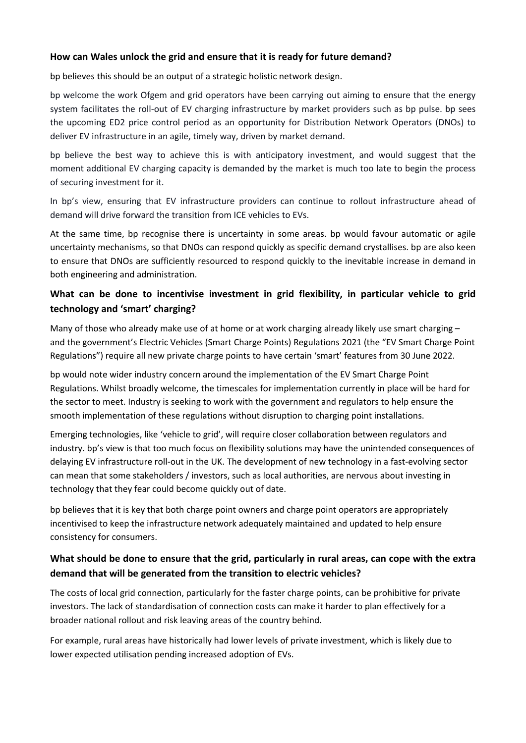#### **How can Wales unlock the grid and ensure that it is ready for future demand?**

bp believes this should be an output of a strategic holistic network design.

bp welcome the work Ofgem and grid operators have been carrying out aiming to ensure that the energy system facilitates the roll-out of EV charging infrastructure by market providers such as bp pulse. bp sees the upcoming ED2 price control period as an opportunity for Distribution Network Operators (DNOs) to deliver EV infrastructure in an agile, timely way, driven by market demand.

bp believe the best way to achieve this is with anticipatory investment, and would suggest that the moment additional EV charging capacity is demanded by the market is much too late to begin the process of securing investment for it.

In bp's view, ensuring that EV infrastructure providers can continue to rollout infrastructure ahead of demand will drive forward the transition from ICE vehicles to EVs.

At the same time, bp recognise there is uncertainty in some areas. bp would favour automatic or agile uncertainty mechanisms, so that DNOs can respond quickly as specific demand crystallises. bp are also keen to ensure that DNOs are sufficiently resourced to respond quickly to the inevitable increase in demand in both engineering and administration.

#### **What can be done to incentivise investment in grid flexibility, in particular vehicle to grid technology and 'smart' charging?**

Many of those who already make use of at home or at work charging already likely use smart charging  $$ and the government's Electric Vehicles (Smart Charge Points) Regulations 2021 (the "EV Smart Charge Point Regulations") require all new private charge points to have certain 'smart' features from 30 June 2022.

bp would note wider industry concern around the implementation of the EV Smart Charge Point Regulations. Whilst broadly welcome, the timescales for implementation currently in place will be hard for the sector to meet. Industry is seeking to work with the government and regulators to help ensure the smooth implementation of these regulations without disruption to charging point installations.

Emerging technologies, like 'vehicle to grid', will require closer collaboration between regulators and industry. bp's view is that too much focus on flexibility solutions may have the unintended consequences of delaying EV infrastructure roll-out in the UK. The development of new technology in a fast-evolving sector can mean that some stakeholders / investors, such as local authorities, are nervous about investing in technology that they fear could become quickly out of date.

bp believes that it is key that both charge point owners and charge point operators are appropriately incentivised to keep the infrastructure network adequately maintained and updated to help ensure consistency for consumers.

#### **What should be done to ensure that the grid, particularly in rural areas, can cope with the extra demand that will be generated from the transition to electric vehicles?**

The costs of local grid connection, particularly for the faster charge points, can be prohibitive for private investors. The lack of standardisation of connection costs can make it harder to plan effectively for a broader national rollout and risk leaving areas of the country behind.

For example, rural areas have historically had lower levels of private investment, which is likely due to lower expected utilisation pending increased adoption of EVs.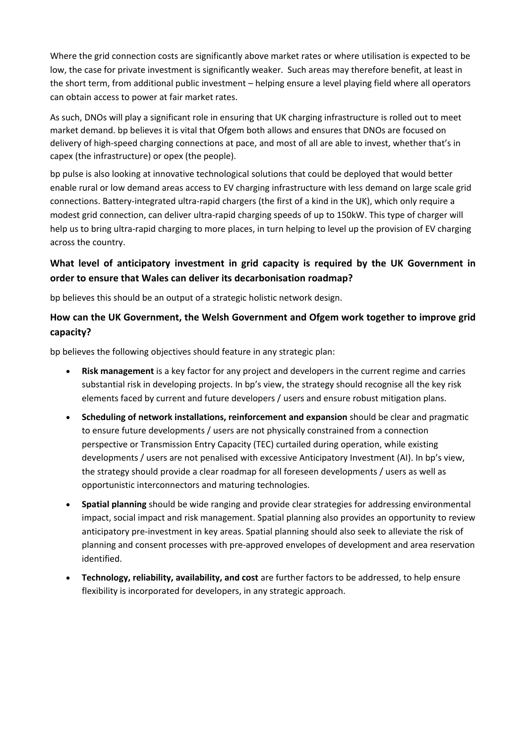Where the grid connection costs are significantly above market rates or where utilisation is expected to be low, the case for private investment is significantly weaker. Such areas may therefore benefit, at least in the short term, from additional public investment – helping ensure a level playing field where all operators can obtain access to power at fair market rates.

As such, DNOs will play a significant role in ensuring that UK charging infrastructure is rolled out to meet market demand. bp believes it is vital that Ofgem both allows and ensures that DNOs are focused on delivery of high-speed charging connections at pace, and most of all are able to invest, whether that's in capex (the infrastructure) or opex (the people).

bp pulse is also looking at innovative technological solutions that could be deployed that would better enable rural or low demand areas access to EV charging infrastructure with less demand on large scale grid connections. Battery-integrated ultra-rapid chargers (the first of a kind in the UK), which only require a modest grid connection, can deliver ultra-rapid charging speeds of up to 150kW. This type of charger will help us to bring ultra-rapid charging to more places, in turn helping to level up the provision of EV charging across the country.

### **What level of anticipatory investment in grid capacity is required by the UK Government in order to ensure that Wales can deliver its decarbonisation roadmap?**

bp believes this should be an output of a strategic holistic network design.

### **How can the UK Government, the Welsh Government and Ofgem work together to improve grid capacity?**

bp believes the following objectives should feature in any strategic plan:

- **Risk management** is a key factor for any project and developers in the current regime and carries substantial risk in developing projects. In bp's view, the strategy should recognise all the key risk elements faced by current and future developers / users and ensure robust mitigation plans.
- **Scheduling of network installations, reinforcement and expansion** should be clear and pragmatic to ensure future developments / users are not physically constrained from a connection perspective or Transmission Entry Capacity (TEC) curtailed during operation, while existing developments / users are not penalised with excessive Anticipatory Investment (AI). In bp's view, the strategy should provide a clear roadmap for all foreseen developments / users as well as opportunistic interconnectors and maturing technologies.
- **Spatial planning** should be wide ranging and provide clear strategies for addressing environmental impact, social impact and risk management. Spatial planning also provides an opportunity to review anticipatory pre-investment in key areas. Spatial planning should also seek to alleviate the risk of planning and consent processes with pre-approved envelopes of development and area reservation identified.
- **Technology, reliability, availability, and cost** are further factors to be addressed, to help ensure flexibility is incorporated for developers, in any strategic approach.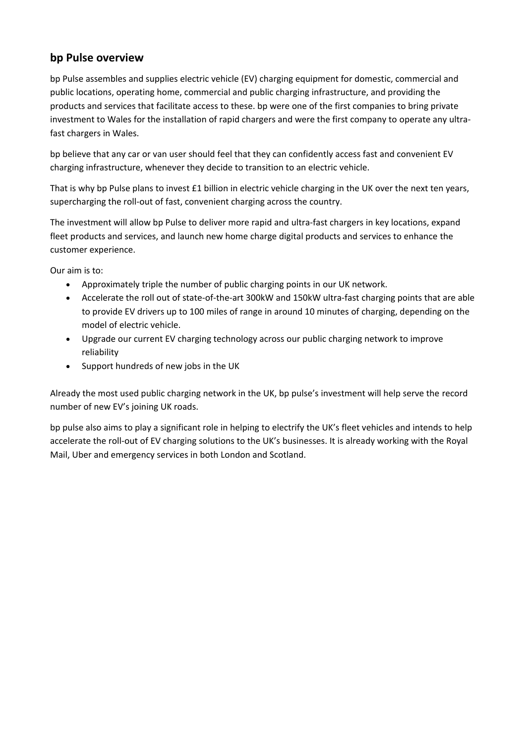### **bp Pulse overview**

bp Pulse assembles and supplies electric vehicle (EV) charging equipment for domestic, commercial and public locations, operating home, commercial and public charging infrastructure, and providing the products and services that facilitate access to these. bp were one of the first companies to bring private investment to Wales for the installation of rapid chargers and were the first company to operate any ultrafast chargers in Wales.

bp believe that any car or van user should feel that they can confidently access fast and convenient EV charging infrastructure, whenever they decide to transition to an electric vehicle.

That is why bp Pulse plans to invest £1 billion in electric vehicle charging in the UK over the next ten years, supercharging the roll-out of fast, convenient charging across the country.

The investment will allow bp Pulse to deliver more rapid and ultra-fast chargers in key locations, expand fleet products and services, and launch new home charge digital products and services to enhance the customer experience.

Our aim is to:

- Approximately triple the number of public charging points in our UK network.
- Accelerate the roll out of state-of-the-art 300kW and 150kW ultra-fast charging points that are able to provide EV drivers up to 100 miles of range in around 10 minutes of charging, depending on the model of electric vehicle.
- Upgrade our current EV charging technology across our public charging network to improve reliability
- Support hundreds of new jobs in the UK

Already the most used public charging network in the UK, bp pulse's investment will help serve the record number of new EV's joining UK roads.

bp pulse also aims to play a significant role in helping to electrify the UK's fleet vehicles and intends to help accelerate the roll-out of EV charging solutions to the UK's businesses. It is already working with the Royal Mail, Uber and emergency services in both London and Scotland.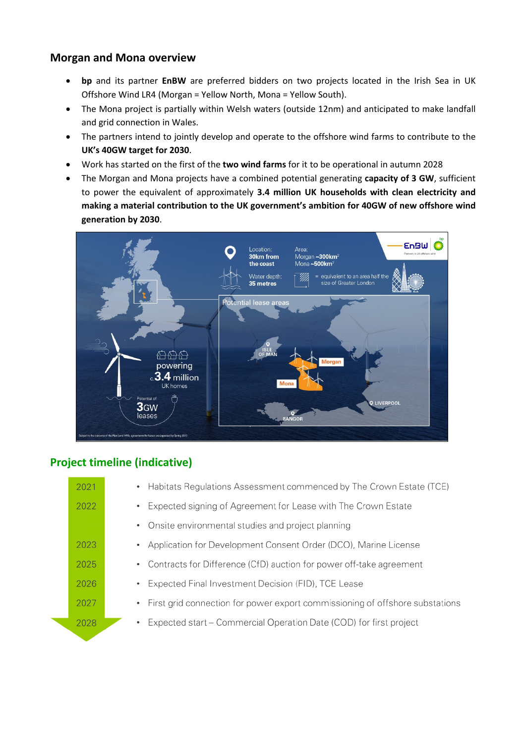## **Morgan and Mona overview**

- **bp** and its partner **EnBW** are preferred bidders on two projects located in the Irish Sea in UK Offshore Wind LR4 (Morgan = Yellow North, Mona = Yellow South).
- The Mona project is partially within Welsh waters (outside 12nm) and anticipated to make landfall and grid connection in Wales.
- The partners intend to jointly develop and operate to the offshore wind farms to contribute to the **UK's 40GW target for 2030**.
- Work has started on the first of the **two wind farms** for it to be operational in autumn 2028
- The Morgan and Mona projects have a combined potential generating **capacity of 3 GW**, sufficient to power the equivalent of approximately **3.4 million UK households with clean electricity and making a material contribution to the UK government's ambition for 40GW of new offshore wind generation by 2030**.



# **Project timeline (indicative)**

| 2021 | Habitats Regulations Assessment commenced by The Crown Estate (TCE)<br>$\bullet$ . |
|------|------------------------------------------------------------------------------------|
| 2022 | Expected signing of Agreement for Lease with The Crown Estate                      |
|      | Onsite environmental studies and project planning<br>$\bullet$                     |
| 2023 | Application for Development Consent Order (DCO), Marine License                    |
| 2025 | Contracts for Difference (CfD) auction for power off-take agreement                |
| 2026 | Expected Final Investment Decision (FID), TCE Lease                                |
| 2027 | • First grid connection for power export commissioning of offshore substations     |
| 2028 | Expected start – Commercial Operation Date (COD) for first project<br>$\bullet$    |
|      |                                                                                    |